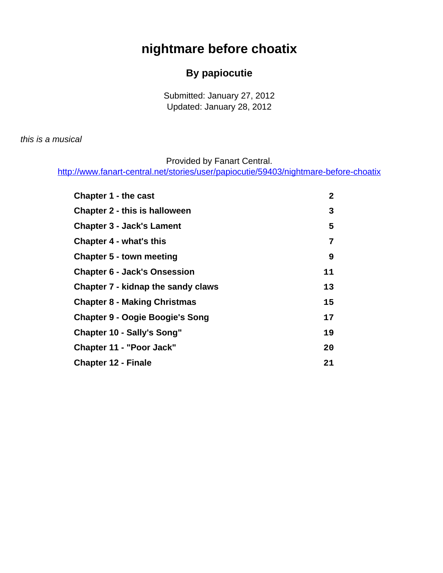# **nightmare before choatix**

### **By papiocutie**

Submitted: January 27, 2012 Updated: January 28, 2012

<span id="page-0-0"></span>this is a musical

Provided by Fanart Central.

[http://www.fanart-central.net/stories/user/papiocutie/59403/nightmare-before-choatix](#page-0-0)

| <b>Chapter 1 - the cast</b>            | $\mathbf{2}$ |
|----------------------------------------|--------------|
| <b>Chapter 2 - this is halloween</b>   | 3            |
| <b>Chapter 3 - Jack's Lament</b>       | 5            |
| <b>Chapter 4 - what's this</b>         | 7            |
| <b>Chapter 5 - town meeting</b>        | 9            |
| <b>Chapter 6 - Jack's Onsession</b>    | 11           |
| Chapter 7 - kidnap the sandy claws     | 13           |
| <b>Chapter 8 - Making Christmas</b>    | 15           |
| <b>Chapter 9 - Oogie Boogie's Song</b> | 17           |
| Chapter 10 - Sally's Song"             | 19           |
| <b>Chapter 11 - "Poor Jack"</b>        | 20           |
| <b>Chapter 12 - Finale</b>             | 21           |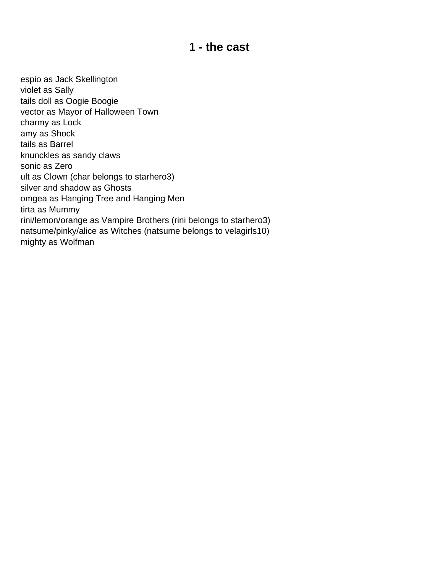#### **1 - the cast**

<span id="page-1-0"></span>espio as Jack Skellington violet as Sally tails doll as Oogie Boogie vector as Mayor of Halloween Town charmy as Lock amy as Shock tails as Barrel knunckles as sandy claws sonic as Zero ult as Clown (char belongs to starhero3) silver and shadow as Ghosts omgea as Hanging Tree and Hanging Men tirta as Mummy rini/lemon/orange as Vampire Brothers (rini belongs to starhero3) natsume/pinky/alice as Witches (natsume belongs to velagirls10) mighty as Wolfman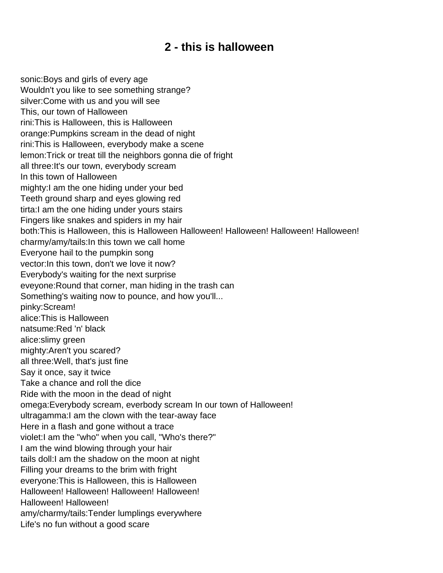# **2 - this is halloween**

<span id="page-2-0"></span>sonic:Boys and girls of every age Wouldn't you like to see something strange? silver:Come with us and you will see This, our town of Halloween rini:This is Halloween, this is Halloween orange:Pumpkins scream in the dead of night rini:This is Halloween, everybody make a scene lemon:Trick or treat till the neighbors gonna die of fright all three:It's our town, everybody scream In this town of Halloween mighty:I am the one hiding under your bed Teeth ground sharp and eyes glowing red tirta:I am the one hiding under yours stairs Fingers like snakes and spiders in my hair both:This is Halloween, this is Halloween Halloween! Halloween! Halloween! Halloween! charmy/amy/tails:In this town we call home Everyone hail to the pumpkin song vector:In this town, don't we love it now? Everybody's waiting for the next surprise eveyone:Round that corner, man hiding in the trash can Something's waiting now to pounce, and how you'll... pinky:Scream! alice:This is Halloween natsume:Red 'n' black alice:slimy green mighty:Aren't you scared? all three:Well, that's just fine Say it once, say it twice Take a chance and roll the dice Ride with the moon in the dead of night omega:Everybody scream, everbody scream In our town of Halloween! ultragamma:I am the clown with the tear-away face Here in a flash and gone without a trace violet:I am the "who" when you call, "Who's there?" I am the wind blowing through your hair tails doll:I am the shadow on the moon at night Filling your dreams to the brim with fright everyone:This is Halloween, this is Halloween Halloween! Halloween! Halloween! Halloween! Halloween! Halloween! amy/charmy/tails:Tender lumplings everywhere Life's no fun without a good scare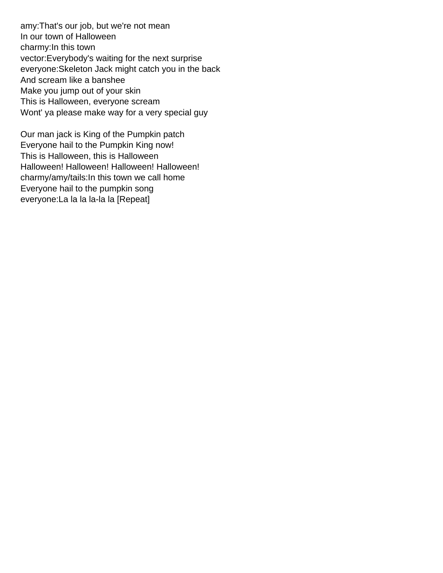amy:That's our job, but we're not mean In our town of Halloween charmy:In this town vector:Everybody's waiting for the next surprise everyone:Skeleton Jack might catch you in the back And scream like a banshee Make you jump out of your skin This is Halloween, everyone scream Wont' ya please make way for a very special guy

Our man jack is King of the Pumpkin patch Everyone hail to the Pumpkin King now! This is Halloween, this is Halloween Halloween! Halloween! Halloween! Halloween! charmy/amy/tails:In this town we call home Everyone hail to the pumpkin song everyone:La la la la-la la [Repeat]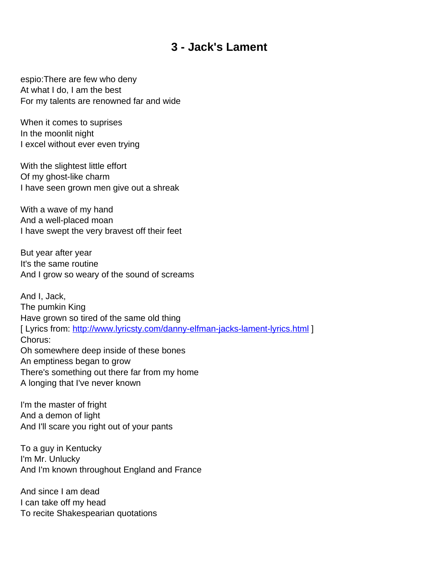### **3 - Jack's Lament**

<span id="page-4-0"></span>espio:There are few who deny At what I do, I am the best For my talents are renowned far and wide

When it comes to suprises In the moonlit night I excel without ever even trying

With the slightest little effort Of my ghost-like charm I have seen grown men give out a shreak

With a wave of my hand And a well-placed moan I have swept the very bravest off their feet

But year after year It's the same routine And I grow so weary of the sound of screams

And I, Jack, The pumkin King Have grown so tired of the same old thing [ Lyrics from:<http://www.lyricsty.com/danny-elfman-jacks-lament-lyrics.html> ] Chorus: Oh somewhere deep inside of these bones An emptiness began to grow There's something out there far from my home A longing that I've never known

I'm the master of fright And a demon of light And I'll scare you right out of your pants

To a guy in Kentucky I'm Mr. Unlucky And I'm known throughout England and France

And since I am dead I can take off my head To recite Shakespearian quotations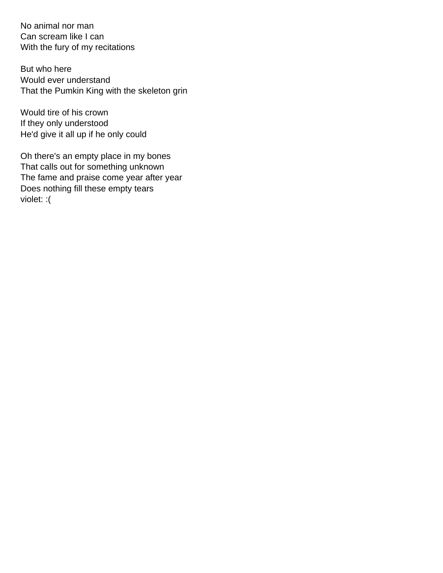No animal nor man Can scream like I can With the fury of my recitations

But who here Would ever understand That the Pumkin King with the skeleton grin

Would tire of his crown If they only understood He'd give it all up if he only could

Oh there's an empty place in my bones That calls out for something unknown The fame and praise come year after year Does nothing fill these empty tears violet: :(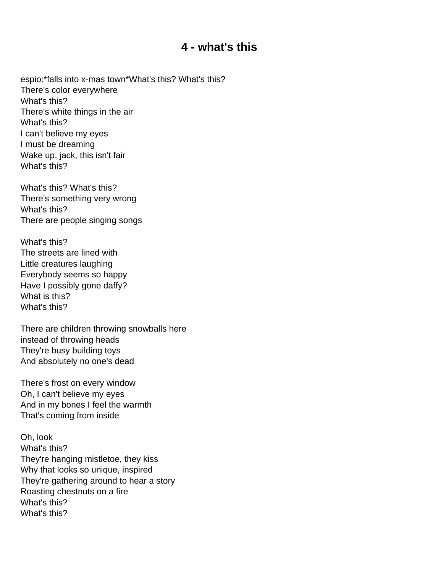#### **4 - what's this**

<span id="page-6-0"></span>espio:\*falls into x-mas town\*What's this? What's this? There's color everywhere What's this? There's white things in the air What's this? I can't believe my eyes I must be dreaming Wake up, jack, this isn't fair What's this?

What's this? What's this? There's something very wrong What's this? There are people singing songs

What's this? The streets are lined with Little creatures laughing Everybody seems so happy Have I possibly gone daffy? What is this? What's this?

There are children throwing snowballs here instead of throwing heads They're busy building toys And absolutely no one's dead

There's frost on every window Oh, I can't believe my eyes And in my bones I feel the warmth That's coming from inside

Oh, look What's this? They're hanging mistletoe, they kiss Why that looks so unique, inspired They're gathering around to hear a story Roasting chestnuts on a fire What's this? What's this?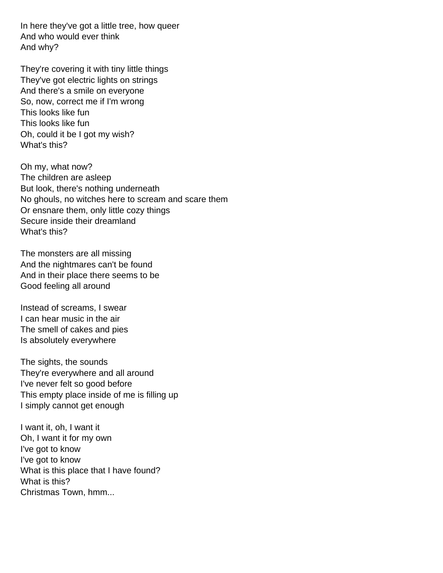In here they've got a little tree, how queer And who would ever think And why?

They're covering it with tiny little things They've got electric lights on strings And there's a smile on everyone So, now, correct me if I'm wrong This looks like fun This looks like fun Oh, could it be I got my wish? What's this?

Oh my, what now? The children are asleep But look, there's nothing underneath No ghouls, no witches here to scream and scare them Or ensnare them, only little cozy things Secure inside their dreamland What's this?

The monsters are all missing And the nightmares can't be found And in their place there seems to be Good feeling all around

Instead of screams, I swear I can hear music in the air The smell of cakes and pies Is absolutely everywhere

The sights, the sounds They're everywhere and all around I've never felt so good before This empty place inside of me is filling up I simply cannot get enough

I want it, oh, I want it Oh, I want it for my own I've got to know I've got to know What is this place that I have found? What is this? Christmas Town, hmm...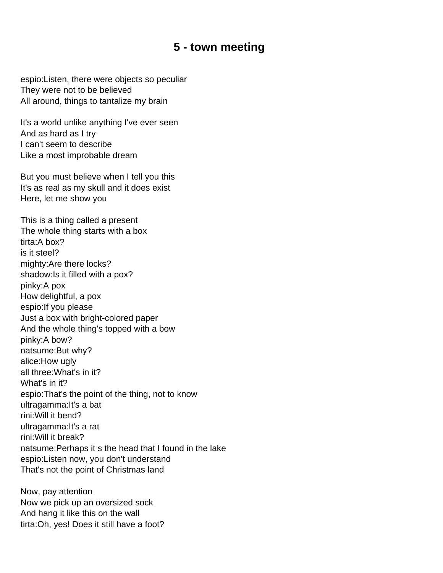### **5 - town meeting**

<span id="page-8-0"></span>espio:Listen, there were objects so peculiar They were not to be believed All around, things to tantalize my brain

It's a world unlike anything I've ever seen And as hard as I try I can't seem to describe Like a most improbable dream

But you must believe when I tell you this It's as real as my skull and it does exist Here, let me show you

This is a thing called a present The whole thing starts with a box tirta:A box? is it steel? mighty:Are there locks? shadow:Is it filled with a pox? pinky:A pox How delightful, a pox espio:If you please Just a box with bright-colored paper And the whole thing's topped with a bow pinky:A bow? natsume:But why? alice:How ugly all three:What's in it? What's in it? espio:That's the point of the thing, not to know ultragamma:It's a bat rini:Will it bend? ultragamma:It's a rat rini:Will it break? natsume:Perhaps it s the head that I found in the lake espio:Listen now, you don't understand That's not the point of Christmas land

Now, pay attention Now we pick up an oversized sock And hang it like this on the wall tirta:Oh, yes! Does it still have a foot?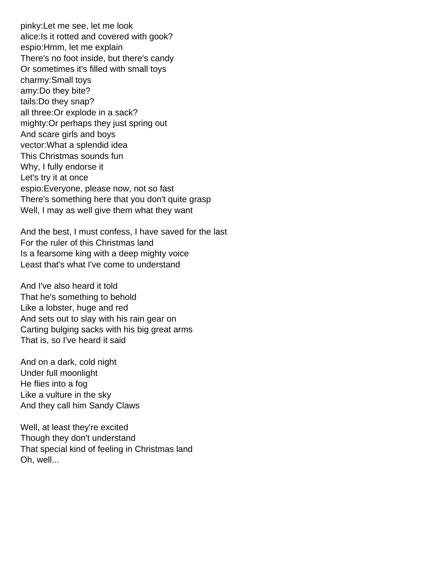pinky:Let me see, let me look alice:Is it rotted and covered with gook? espio:Hmm, let me explain There's no foot inside, but there's candy Or sometimes it's filled with small toys charmy:Small toys amy:Do they bite? tails:Do they snap? all three:Or explode in a sack? mighty:Or perhaps they just spring out And scare girls and boys vector:What a splendid idea This Christmas sounds fun Why, I fully endorse it Let's try it at once espio:Everyone, please now, not so fast There's something here that you don't quite grasp Well, I may as well give them what they want

And the best, I must confess, I have saved for the last For the ruler of this Christmas land Is a fearsome king with a deep mighty voice Least that's what I've come to understand

And I've also heard it told That he's something to behold Like a lobster, huge and red And sets out to slay with his rain gear on Carting bulging sacks with his big great arms That is, so I've heard it said

And on a dark, cold night Under full moonlight He flies into a fog Like a vulture in the sky And they call him Sandy Claws

Well, at least they're excited Though they don't understand That special kind of feeling in Christmas land Oh, well...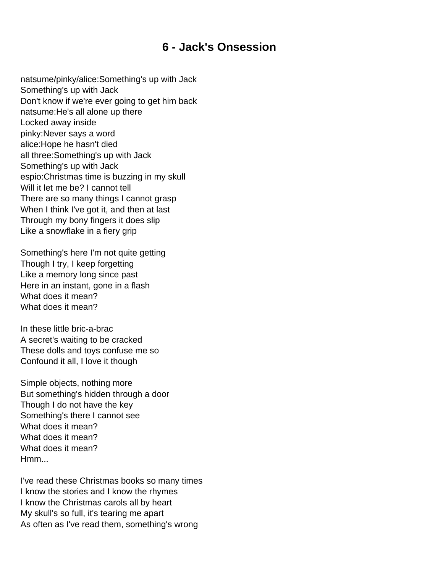# **6 - Jack's Onsession**

<span id="page-10-0"></span>natsume/pinky/alice:Something's up with Jack Something's up with Jack Don't know if we're ever going to get him back natsume:He's all alone up there Locked away inside pinky:Never says a word alice:Hope he hasn't died all three:Something's up with Jack Something's up with Jack espio:Christmas time is buzzing in my skull Will it let me be? I cannot tell There are so many things I cannot grasp When I think I've got it, and then at last Through my bony fingers it does slip Like a snowflake in a fiery grip

Something's here I'm not quite getting Though I try, I keep forgetting Like a memory long since past Here in an instant, gone in a flash What does it mean? What does it mean?

In these little bric-a-brac A secret's waiting to be cracked These dolls and toys confuse me so Confound it all, I love it though

Simple objects, nothing more But something's hidden through a door Though I do not have the key Something's there I cannot see What does it mean? What does it mean? What does it mean? Hmm...

I've read these Christmas books so many times I know the stories and I know the rhymes I know the Christmas carols all by heart My skull's so full, it's tearing me apart As often as I've read them, something's wrong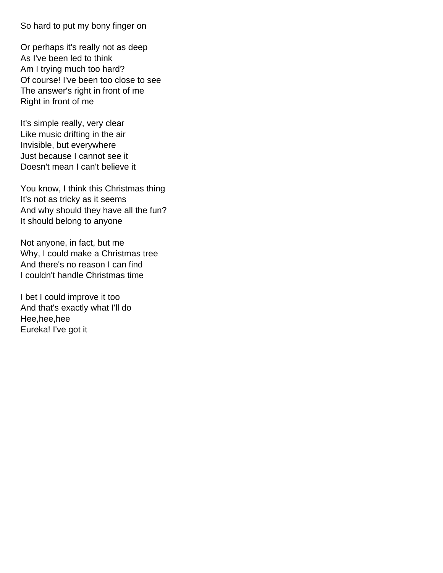So hard to put my bony finger on

Or perhaps it's really not as deep As I've been led to think Am I trying much too hard? Of course! I've been too close to see The answer's right in front of me Right in front of me

It's simple really, very clear Like music drifting in the air Invisible, but everywhere Just because I cannot see it Doesn't mean I can't believe it

You know, I think this Christmas thing It's not as tricky as it seems And why should they have all the fun? It should belong to anyone

Not anyone, in fact, but me Why, I could make a Christmas tree And there's no reason I can find I couldn't handle Christmas time

I bet I could improve it too And that's exactly what I'll do Hee,hee,hee Eureka! I've got it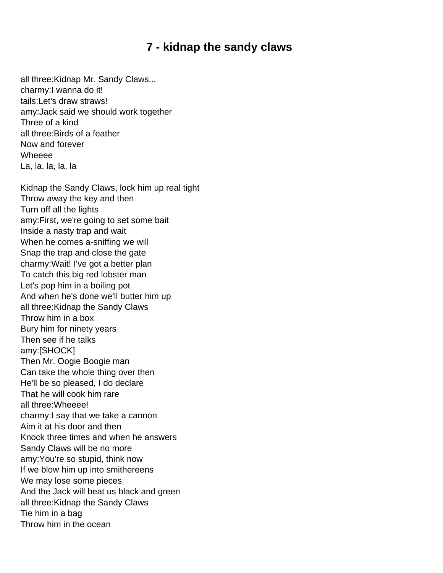#### **7 - kidnap the sandy claws**

<span id="page-12-0"></span>all three:Kidnap Mr. Sandy Claws... charmy:I wanna do it! tails:Let's draw straws! amy:Jack said we should work together Three of a kind all three:Birds of a feather Now and forever Wheeee La, la, la, la, la

Kidnap the Sandy Claws, lock him up real tight Throw away the key and then Turn off all the lights amy:First, we're going to set some bait Inside a nasty trap and wait When he comes a-sniffing we will Snap the trap and close the gate charmy:Wait! I've got a better plan To catch this big red lobster man Let's pop him in a boiling pot And when he's done we'll butter him up all three:Kidnap the Sandy Claws Throw him in a box Bury him for ninety years Then see if he talks amy:[SHOCK] Then Mr. Oogie Boogie man Can take the whole thing over then He'll be so pleased, I do declare That he will cook him rare all three:Wheeee! charmy:I say that we take a cannon Aim it at his door and then Knock three times and when he answers Sandy Claws will be no more amy:You're so stupid, think now If we blow him up into smithereens We may lose some pieces And the Jack will beat us black and green all three:Kidnap the Sandy Claws Tie him in a bag Throw him in the ocean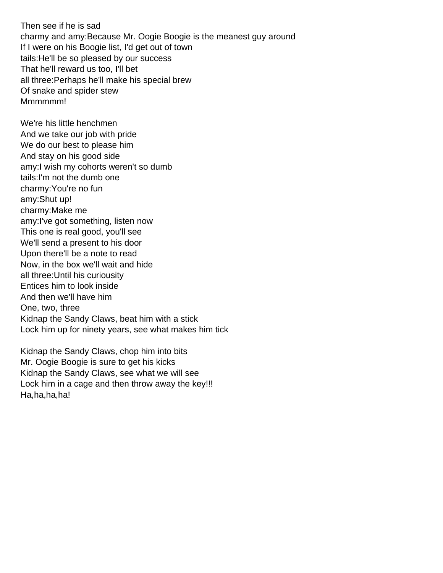Then see if he is sad charmy and amy:Because Mr. Oogie Boogie is the meanest guy around If I were on his Boogie list, I'd get out of town tails:He'll be so pleased by our success That he'll reward us too, I'll bet all three:Perhaps he'll make his special brew Of snake and spider stew Mmmmmm!

We're his little henchmen And we take our job with pride We do our best to please him And stay on his good side amy:I wish my cohorts weren't so dumb tails:I'm not the dumb one charmy:You're no fun amy:Shut up! charmy:Make me amy:I've got something, listen now This one is real good, you'll see We'll send a present to his door Upon there'll be a note to read Now, in the box we'll wait and hide all three:Until his curiousity Entices him to look inside And then we'll have him One, two, three Kidnap the Sandy Claws, beat him with a stick Lock him up for ninety years, see what makes him tick

Kidnap the Sandy Claws, chop him into bits Mr. Oogie Boogie is sure to get his kicks Kidnap the Sandy Claws, see what we will see Lock him in a cage and then throw away the key!!! Ha,ha,ha,ha!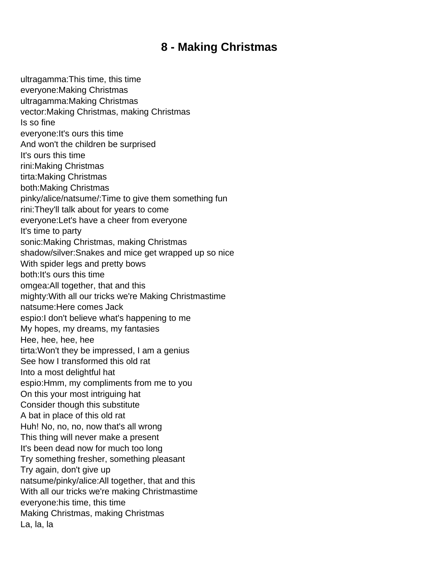# **8 - Making Christmas**

<span id="page-14-0"></span>ultragamma:This time, this time everyone:Making Christmas ultragamma:Making Christmas vector:Making Christmas, making Christmas Is so fine everyone:It's ours this time And won't the children be surprised It's ours this time rini:Making Christmas tirta:Making Christmas both:Making Christmas pinky/alice/natsume/:Time to give them something fun rini:They'll talk about for years to come everyone:Let's have a cheer from everyone It's time to party sonic:Making Christmas, making Christmas shadow/silver:Snakes and mice get wrapped up so nice With spider legs and pretty bows both:It's ours this time omgea:All together, that and this mighty:With all our tricks we're Making Christmastime natsume:Here comes Jack espio:I don't believe what's happening to me My hopes, my dreams, my fantasies Hee, hee, hee, hee tirta:Won't they be impressed, I am a genius See how I transformed this old rat Into a most delightful hat espio:Hmm, my compliments from me to you On this your most intriguing hat Consider though this substitute A bat in place of this old rat Huh! No, no, no, now that's all wrong This thing will never make a present It's been dead now for much too long Try something fresher, something pleasant Try again, don't give up natsume/pinky/alice:All together, that and this With all our tricks we're making Christmastime everyone:his time, this time Making Christmas, making Christmas La, la, la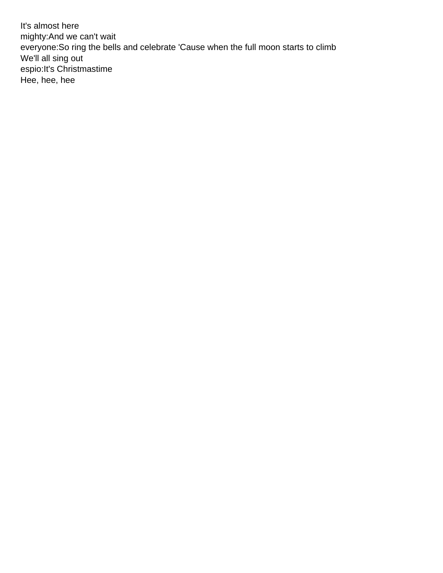It's almost here mighty:And we can't wait everyone:So ring the bells and celebrate 'Cause when the full moon starts to climb We'll all sing out espio:It's Christmastime Hee, hee, hee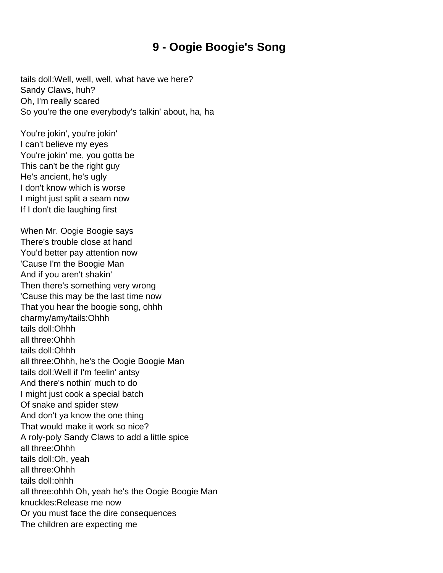### **9 - Oogie Boogie's Song**

<span id="page-16-0"></span>tails doll:Well, well, well, what have we here? Sandy Claws, huh? Oh, I'm really scared So you're the one everybody's talkin' about, ha, ha

You're jokin', you're jokin' I can't believe my eyes You're jokin' me, you gotta be This can't be the right guy He's ancient, he's ugly I don't know which is worse I might just split a seam now If I don't die laughing first When Mr. Oogie Boogie says There's trouble close at hand You'd better pay attention now 'Cause I'm the Boogie Man And if you aren't shakin' Then there's something very wrong 'Cause this may be the last time now That you hear the boogie song, ohhh charmy/amy/tails:Ohhh tails doll:Ohhh all three:Ohhh tails doll:Ohhh all three:Ohhh, he's the Oogie Boogie Man tails doll:Well if I'm feelin' antsy And there's nothin' much to do I might just cook a special batch Of snake and spider stew And don't ya know the one thing That would make it work so nice? A roly-poly Sandy Claws to add a little spice all three:Ohhh tails doll:Oh, yeah all three:Ohhh tails doll:ohhh all three:ohhh Oh, yeah he's the Oogie Boogie Man knuckles:Release me now Or you must face the dire consequences The children are expecting me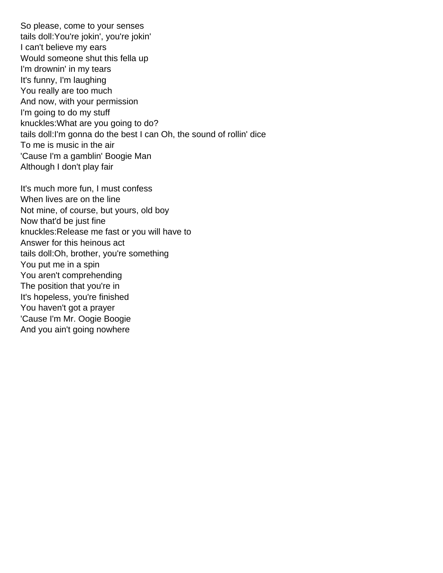So please, come to your senses tails doll:You're jokin', you're jokin' I can't believe my ears Would someone shut this fella up I'm drownin' in my tears It's funny, I'm laughing You really are too much And now, with your permission I'm going to do my stuff knuckles:What are you going to do? tails doll:I'm gonna do the best I can Oh, the sound of rollin' dice To me is music in the air 'Cause I'm a gamblin' Boogie Man Although I don't play fair It's much more fun, I must confess When lives are on the line Not mine, of course, but yours, old boy Now that'd be just fine

knuckles:Release me fast or you will have to Answer for this heinous act

tails doll:Oh, brother, you're something

You put me in a spin

You aren't comprehending

The position that you're in

It's hopeless, you're finished You haven't got a prayer

'Cause I'm Mr. Oogie Boogie

And you ain't going nowhere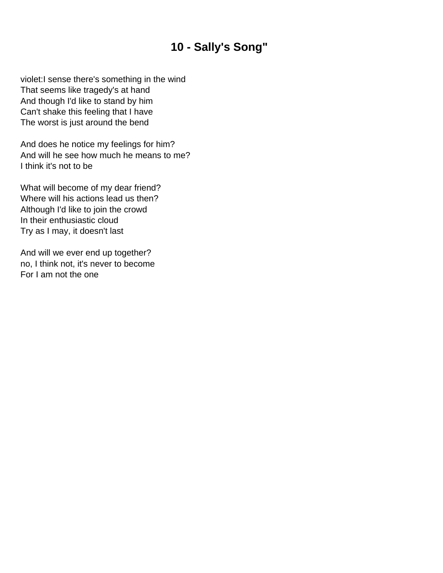# **10 - Sally's Song"**

<span id="page-18-0"></span>violet:I sense there's something in the wind That seems like tragedy's at hand And though I'd like to stand by him Can't shake this feeling that I have The worst is just around the bend

And does he notice my feelings for him? And will he see how much he means to me? I think it's not to be

What will become of my dear friend? Where will his actions lead us then? Although I'd like to join the crowd In their enthusiastic cloud Try as I may, it doesn't last

And will we ever end up together? no, I think not, it's never to become For I am not the one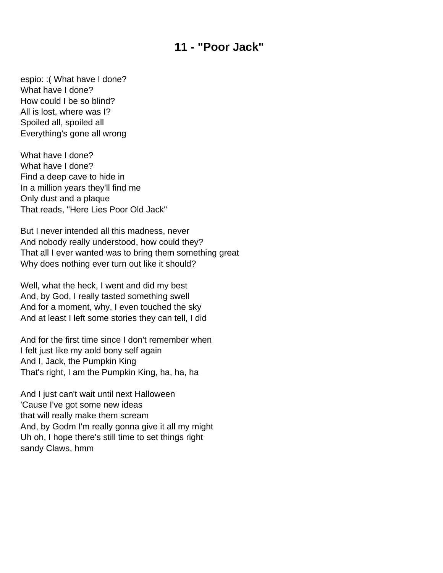#### **11 - "Poor Jack"**

<span id="page-19-0"></span>espio: :( What have I done? What have I done? How could I be so blind? All is lost, where was I? Spoiled all, spoiled all Everything's gone all wrong

What have I done? What have I done? Find a deep cave to hide in In a million years they'll find me Only dust and a plaque That reads, "Here Lies Poor Old Jack"

But I never intended all this madness, never And nobody really understood, how could they? That all I ever wanted was to bring them something great Why does nothing ever turn out like it should?

Well, what the heck, I went and did my best And, by God, I really tasted something swell And for a moment, why, I even touched the sky And at least I left some stories they can tell, I did

And for the first time since I don't remember when I felt just like my aold bony self again And I, Jack, the Pumpkin King That's right, I am the Pumpkin King, ha, ha, ha

And I just can't wait until next Halloween 'Cause I've got some new ideas that will really make them scream And, by Godm I'm really gonna give it all my might Uh oh, I hope there's still time to set things right sandy Claws, hmm